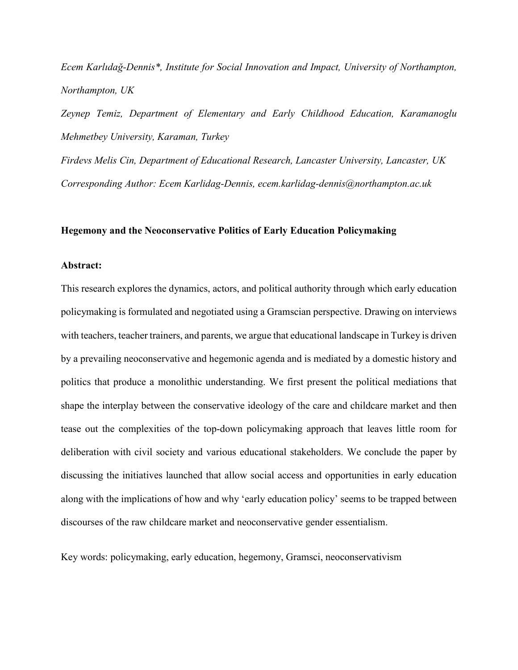*Ecem Karlıdağ-Dennis\*, Institute for Social Innovation and Impact, University of Northampton, Northampton, UK* 

*Zeynep Temiz, Department of Elementary and Early Childhood Education, Karamanoglu Mehmetbey University, Karaman, Turkey* 

*Firdevs Melis Cin, Department of Educational Research, Lancaster University, Lancaster, UK Corresponding Author: Ecem Karlidag-Dennis, ecem.karlidag-dennis@northampton.ac.uk* 

## **Hegemony and the Neoconservative Politics of Early Education Policymaking**

#### **Abstract:**

This research explores the dynamics, actors, and political authority through which early education policymaking is formulated and negotiated using a Gramscian perspective. Drawing on interviews with teachers, teacher trainers, and parents, we argue that educational landscape in Turkey is driven by a prevailing neoconservative and hegemonic agenda and is mediated by a domestic history and politics that produce a monolithic understanding. We first present the political mediations that shape the interplay between the conservative ideology of the care and childcare market and then tease out the complexities of the top-down policymaking approach that leaves little room for deliberation with civil society and various educational stakeholders. We conclude the paper by discussing the initiatives launched that allow social access and opportunities in early education along with the implications of how and why 'early education policy' seems to be trapped between discourses of the raw childcare market and neoconservative gender essentialism.

Key words: policymaking, early education, hegemony, Gramsci, neoconservativism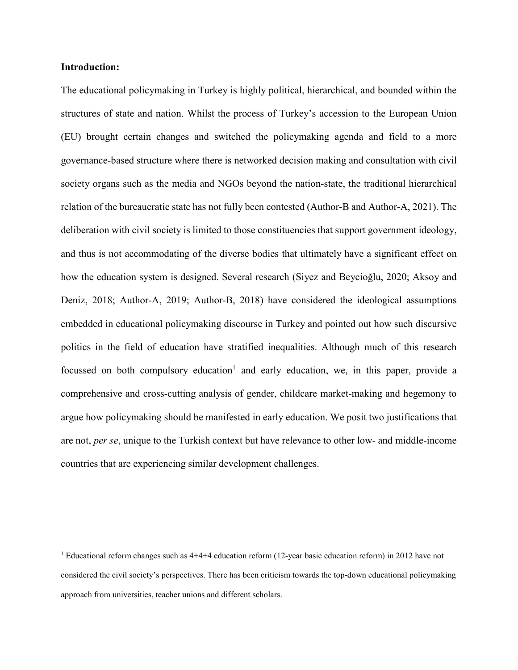# **Introduction:**

The educational policymaking in Turkey is highly political, hierarchical, and bounded within the structures of state and nation. Whilst the process of Turkey's accession to the European Union (EU) brought certain changes and switched the policymaking agenda and field to a more governance-based structure where there is networked decision making and consultation with civil society organs such as the media and NGOs beyond the nation-state, the traditional hierarchical relation of the bureaucratic state has not fully been contested (Author-B and Author-A, 2021). The deliberation with civil society is limited to those constituencies that support government ideology, and thus is not accommodating of the diverse bodies that ultimately have a significant effect on how the education system is designed. Several research (Siyez and Beycioğlu, 2020; Aksoy and Deniz, 2018; Author-A, 2019; Author-B, 2018) have considered the ideological assumptions embedded in educational policymaking discourse in Turkey and pointed out how such discursive politics in the field of education have stratified inequalities. Although much of this research focussed on both compulsory education<sup>1</sup> and early education, we, in this paper, provide a comprehensive and cross-cutting analysis of gender, childcare market-making and hegemony to argue how policymaking should be manifested in early education. We posit two justifications that are not, *per se*, unique to the Turkish context but have relevance to other low- and middle-income countries that are experiencing similar development challenges.

 <sup>1</sup> Educational reform changes such as 4+4+4 education reform (12-year basic education reform) in 2012 have not considered the civil society's perspectives. There has been criticism towards the top-down educational policymaking approach from universities, teacher unions and different scholars.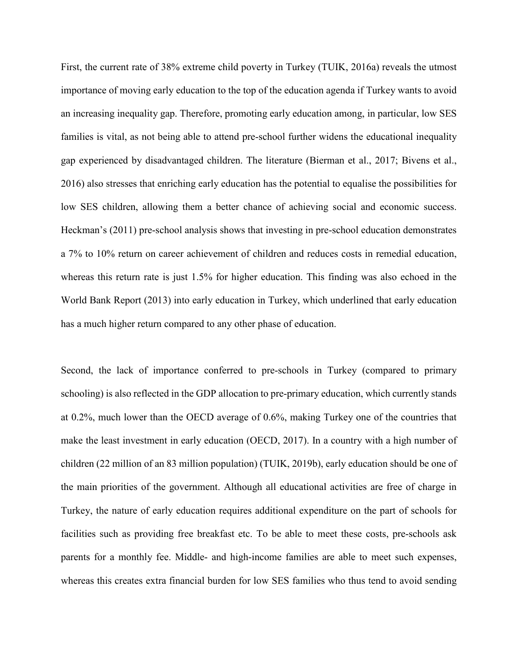First, the current rate of 38% extreme child poverty in Turkey (TUIK, 2016a) reveals the utmost importance of moving early education to the top of the education agenda if Turkey wants to avoid an increasing inequality gap. Therefore, promoting early education among, in particular, low SES families is vital, as not being able to attend pre-school further widens the educational inequality gap experienced by disadvantaged children. The literature (Bierman et al., 2017; Bivens et al., 2016) also stresses that enriching early education has the potential to equalise the possibilities for low SES children, allowing them a better chance of achieving social and economic success. Heckman's (2011) pre-school analysis shows that investing in pre-school education demonstrates a 7% to 10% return on career achievement of children and reduces costs in remedial education, whereas this return rate is just 1.5% for higher education. This finding was also echoed in the World Bank Report (2013) into early education in Turkey, which underlined that early education has a much higher return compared to any other phase of education.

Second, the lack of importance conferred to pre-schools in Turkey (compared to primary schooling) is also reflected in the GDP allocation to pre-primary education, which currently stands at 0.2%, much lower than the OECD average of 0.6%, making Turkey one of the countries that make the least investment in early education (OECD, 2017). In a country with a high number of children (22 million of an 83 million population) (TUIK, 2019b), early education should be one of the main priorities of the government. Although all educational activities are free of charge in Turkey, the nature of early education requires additional expenditure on the part of schools for facilities such as providing free breakfast etc. To be able to meet these costs, pre-schools ask parents for a monthly fee. Middle- and high-income families are able to meet such expenses, whereas this creates extra financial burden for low SES families who thus tend to avoid sending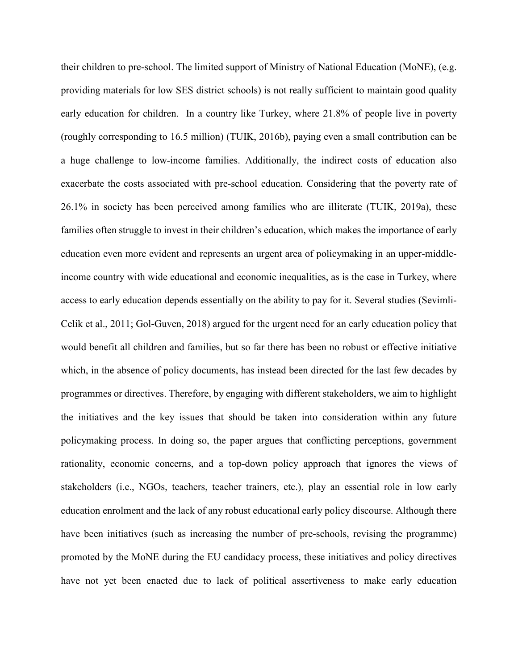their children to pre-school. The limited support of Ministry of National Education (MoNE), (e.g. providing materials for low SES district schools) is not really sufficient to maintain good quality early education for children. In a country like Turkey, where 21.8% of people live in poverty (roughly corresponding to 16.5 million) (TUIK, 2016b), paying even a small contribution can be a huge challenge to low-income families. Additionally, the indirect costs of education also exacerbate the costs associated with pre-school education. Considering that the poverty rate of 26.1% in society has been perceived among families who are illiterate (TUIK, 2019a), these families often struggle to invest in their children's education, which makes the importance of early education even more evident and represents an urgent area of policymaking in an upper-middleincome country with wide educational and economic inequalities, as is the case in Turkey, where access to early education depends essentially on the ability to pay for it. Several studies (Sevimli-Celik et al., 2011; Gol-Guven, 2018) argued for the urgent need for an early education policy that would benefit all children and families, but so far there has been no robust or effective initiative which, in the absence of policy documents, has instead been directed for the last few decades by programmes or directives. Therefore, by engaging with different stakeholders, we aim to highlight the initiatives and the key issues that should be taken into consideration within any future policymaking process. In doing so, the paper argues that conflicting perceptions, government rationality, economic concerns, and a top-down policy approach that ignores the views of stakeholders (i.e., NGOs, teachers, teacher trainers, etc.), play an essential role in low early education enrolment and the lack of any robust educational early policy discourse. Although there have been initiatives (such as increasing the number of pre-schools, revising the programme) promoted by the MoNE during the EU candidacy process, these initiatives and policy directives have not yet been enacted due to lack of political assertiveness to make early education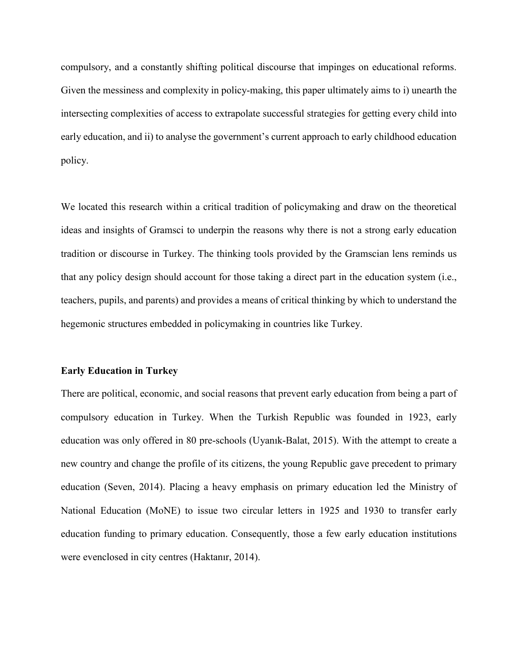compulsory, and a constantly shifting political discourse that impinges on educational reforms. Given the messiness and complexity in policy-making, this paper ultimately aims to i) unearth the intersecting complexities of access to extrapolate successful strategies for getting every child into early education, and ii) to analyse the government's current approach to early childhood education policy.

We located this research within a critical tradition of policymaking and draw on the theoretical ideas and insights of Gramsci to underpin the reasons why there is not a strong early education tradition or discourse in Turkey. The thinking tools provided by the Gramscian lens reminds us that any policy design should account for those taking a direct part in the education system (i.e., teachers, pupils, and parents) and provides a means of critical thinking by which to understand the hegemonic structures embedded in policymaking in countries like Turkey.

#### **Early Education in Turkey**

There are political, economic, and social reasons that prevent early education from being a part of compulsory education in Turkey. When the Turkish Republic was founded in 1923, early education was only offered in 80 pre-schools (Uyanık-Balat, 2015). With the attempt to create a new country and change the profile of its citizens, the young Republic gave precedent to primary education (Seven, 2014). Placing a heavy emphasis on primary education led the Ministry of National Education (MoNE) to issue two circular letters in 1925 and 1930 to transfer early education funding to primary education. Consequently, those a few early education institutions were evenclosed in city centres (Haktanır, 2014).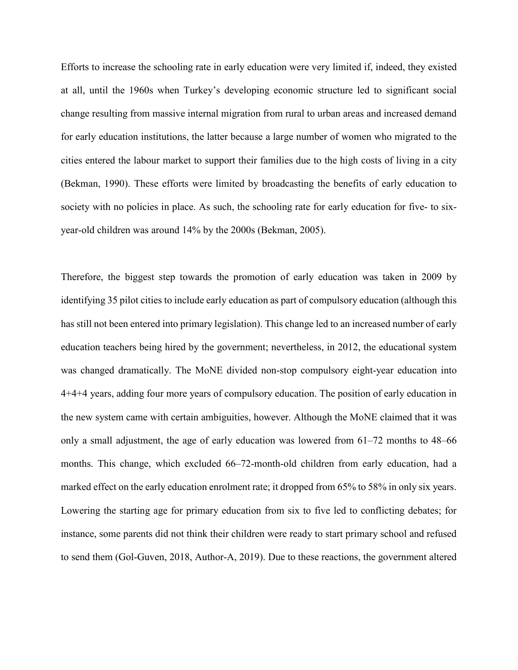Efforts to increase the schooling rate in early education were very limited if, indeed, they existed at all, until the 1960s when Turkey's developing economic structure led to significant social change resulting from massive internal migration from rural to urban areas and increased demand for early education institutions, the latter because a large number of women who migrated to the cities entered the labour market to support their families due to the high costs of living in a city (Bekman, 1990). These efforts were limited by broadcasting the benefits of early education to society with no policies in place. As such, the schooling rate for early education for five- to sixyear-old children was around 14% by the 2000s (Bekman, 2005).

Therefore, the biggest step towards the promotion of early education was taken in 2009 by identifying 35 pilot cities to include early education as part of compulsory education (although this has still not been entered into primary legislation). This change led to an increased number of early education teachers being hired by the government; nevertheless, in 2012, the educational system was changed dramatically. The MoNE divided non-stop compulsory eight-year education into 4+4+4 years, adding four more years of compulsory education. The position of early education in the new system came with certain ambiguities, however. Although the MoNE claimed that it was only a small adjustment, the age of early education was lowered from 61–72 months to 48–66 months. This change, which excluded 66–72-month-old children from early education, had a marked effect on the early education enrolment rate; it dropped from 65% to 58% in only six years. Lowering the starting age for primary education from six to five led to conflicting debates; for instance, some parents did not think their children were ready to start primary school and refused to send them (Gol-Guven, 2018, Author-A, 2019). Due to these reactions, the government altered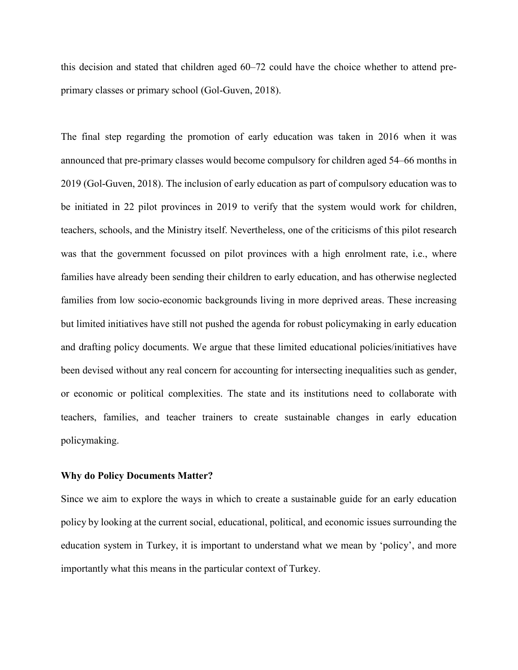this decision and stated that children aged 60–72 could have the choice whether to attend preprimary classes or primary school (Gol-Guven, 2018).

The final step regarding the promotion of early education was taken in 2016 when it was announced that pre-primary classes would become compulsory for children aged 54–66 months in 2019 (Gol-Guven, 2018). The inclusion of early education as part of compulsory education was to be initiated in 22 pilot provinces in 2019 to verify that the system would work for children, teachers, schools, and the Ministry itself. Nevertheless, one of the criticisms of this pilot research was that the government focussed on pilot provinces with a high enrolment rate, i.e., where families have already been sending their children to early education, and has otherwise neglected families from low socio-economic backgrounds living in more deprived areas. These increasing but limited initiatives have still not pushed the agenda for robust policymaking in early education and drafting policy documents. We argue that these limited educational policies/initiatives have been devised without any real concern for accounting for intersecting inequalities such as gender, or economic or political complexities. The state and its institutions need to collaborate with teachers, families, and teacher trainers to create sustainable changes in early education policymaking.

#### **Why do Policy Documents Matter?**

Since we aim to explore the ways in which to create a sustainable guide for an early education policy by looking at the current social, educational, political, and economic issues surrounding the education system in Turkey, it is important to understand what we mean by 'policy', and more importantly what this means in the particular context of Turkey.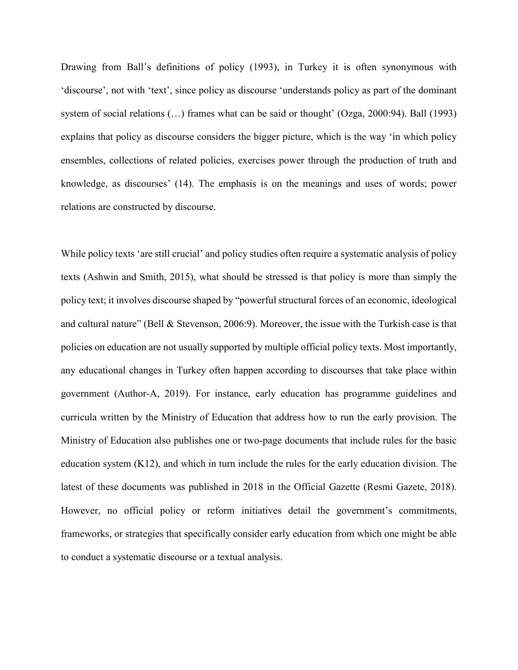Drawing from Ball's definitions of policy (1993), in Turkey it is often synonymous with 'discourse', not with 'text', since policy as discourse 'understands policy as part of the dominant system of social relations (…) frames what can be said or thought' (Ozga, 2000:94). Ball (1993) explains that policy as discourse considers the bigger picture, which is the way 'in which policy ensembles, collections of related policies, exercises power through the production of truth and knowledge, as discourses' (14). The emphasis is on the meanings and uses of words; power relations are constructed by discourse.

While policy texts 'are still crucial' and policy studies often require a systematic analysis of policy texts (Ashwin and Smith, 2015), what should be stressed is that policy is more than simply the policy text; it involves discourse shaped by "powerful structural forces of an economic, ideological and cultural nature" (Bell & Stevenson, 2006:9). Moreover, the issue with the Turkish case is that policies on education are not usually supported by multiple official policy texts. Most importantly, any educational changes in Turkey often happen according to discourses that take place within government (Author-A, 2019). For instance, early education has programme guidelines and curricula written by the Ministry of Education that address how to run the early provision. The Ministry of Education also publishes one or two-page documents that include rules for the basic education system (K12), and which in turn include the rules for the early education division. The latest of these documents was published in 2018 in the Official Gazette (Resmi Gazete, 2018). However, no official policy or reform initiatives detail the government's commitments, frameworks, or strategies that specifically consider early education from which one might be able to conduct a systematic discourse or a textual analysis.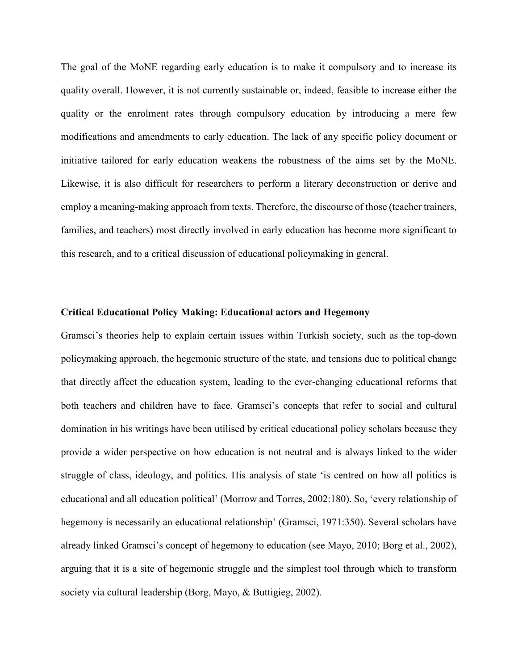The goal of the MoNE regarding early education is to make it compulsory and to increase its quality overall. However, it is not currently sustainable or, indeed, feasible to increase either the quality or the enrolment rates through compulsory education by introducing a mere few modifications and amendments to early education. The lack of any specific policy document or initiative tailored for early education weakens the robustness of the aims set by the MoNE. Likewise, it is also difficult for researchers to perform a literary deconstruction or derive and employ a meaning-making approach from texts. Therefore, the discourse of those (teacher trainers, families, and teachers) most directly involved in early education has become more significant to this research, and to a critical discussion of educational policymaking in general.

# **Critical Educational Policy Making: Educational actors and Hegemony**

Gramsci's theories help to explain certain issues within Turkish society, such as the top-down policymaking approach, the hegemonic structure of the state, and tensions due to political change that directly affect the education system, leading to the ever-changing educational reforms that both teachers and children have to face. Gramsci's concepts that refer to social and cultural domination in his writings have been utilised by critical educational policy scholars because they provide a wider perspective on how education is not neutral and is always linked to the wider struggle of class, ideology, and politics. His analysis of state 'is centred on how all politics is educational and all education political' (Morrow and Torres, 2002:180). So, 'every relationship of hegemony is necessarily an educational relationship' (Gramsci, 1971:350). Several scholars have already linked Gramsci's concept of hegemony to education (see Mayo, 2010; Borg et al., 2002), arguing that it is a site of hegemonic struggle and the simplest tool through which to transform society via cultural leadership (Borg, Mayo, & Buttigieg, 2002).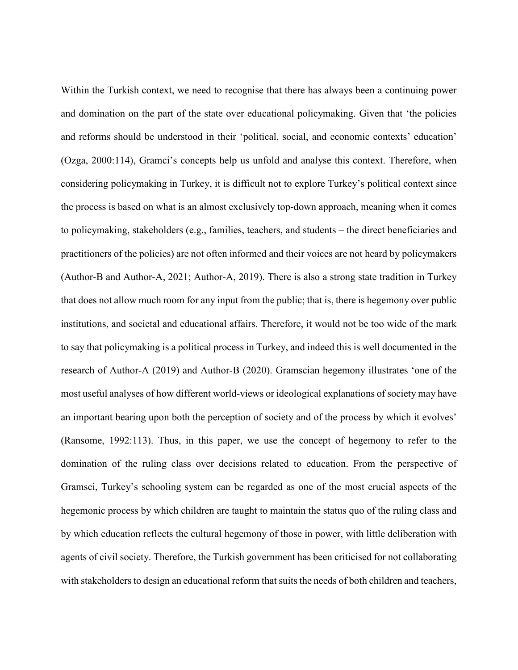Within the Turkish context, we need to recognise that there has always been a continuing power and domination on the part of the state over educational policymaking. Given that 'the policies and reforms should be understood in their 'political, social, and economic contexts' education' (Ozga, 2000:114), Gramci's concepts help us unfold and analyse this context. Therefore, when considering policymaking in Turkey, it is difficult not to explore Turkey's political context since the process is based on what is an almost exclusively top-down approach, meaning when it comes to policymaking, stakeholders (e.g., families, teachers, and students – the direct beneficiaries and practitioners of the policies) are not often informed and their voices are not heard by policymakers (Author-B and Author-A, 2021; Author-A, 2019). There is also a strong state tradition in Turkey that does not allow much room for any input from the public; that is, there is hegemony over public institutions, and societal and educational affairs. Therefore, it would not be too wide of the mark to say that policymaking is a political process in Turkey, and indeed this is well documented in the research of Author-A (2019) and Author-B (2020). Gramscian hegemony illustrates 'one of the most useful analyses of how different world-views or ideological explanations of society may have an important bearing upon both the perception of society and of the process by which it evolves' (Ransome, 1992:113). Thus, in this paper, we use the concept of hegemony to refer to the domination of the ruling class over decisions related to education. From the perspective of Gramsci, Turkey's schooling system can be regarded as one of the most crucial aspects of the hegemonic process by which children are taught to maintain the status quo of the ruling class and by which education reflects the cultural hegemony of those in power, with little deliberation with agents of civil society. Therefore, the Turkish government has been criticised for not collaborating with stakeholders to design an educational reform that suits the needs of both children and teachers,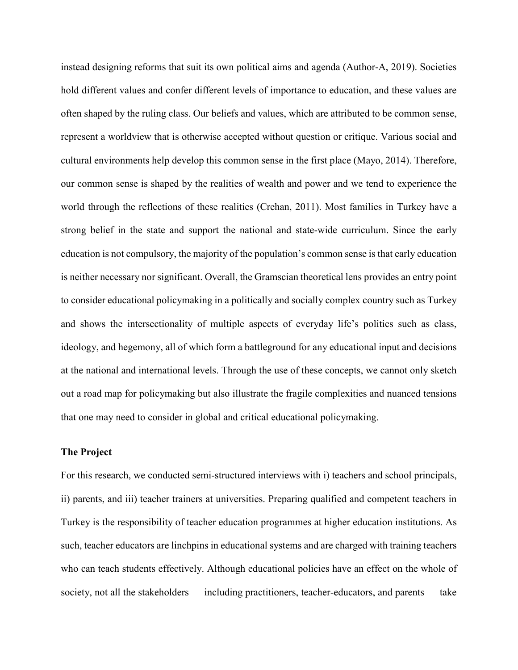instead designing reforms that suit its own political aims and agenda (Author-A, 2019). Societies hold different values and confer different levels of importance to education, and these values are often shaped by the ruling class. Our beliefs and values, which are attributed to be common sense, represent a worldview that is otherwise accepted without question or critique. Various social and cultural environments help develop this common sense in the first place (Mayo, 2014). Therefore, our common sense is shaped by the realities of wealth and power and we tend to experience the world through the reflections of these realities (Crehan, 2011). Most families in Turkey have a strong belief in the state and support the national and state-wide curriculum. Since the early education is not compulsory, the majority of the population's common sense is that early education is neither necessary nor significant. Overall, the Gramscian theoretical lens provides an entry point to consider educational policymaking in a politically and socially complex country such as Turkey and shows the intersectionality of multiple aspects of everyday life's politics such as class, ideology, and hegemony, all of which form a battleground for any educational input and decisions at the national and international levels. Through the use of these concepts, we cannot only sketch out a road map for policymaking but also illustrate the fragile complexities and nuanced tensions that one may need to consider in global and critical educational policymaking.

## **The Project**

For this research, we conducted semi-structured interviews with i) teachers and school principals, ii) parents, and iii) teacher trainers at universities. Preparing qualified and competent teachers in Turkey is the responsibility of teacher education programmes at higher education institutions. As such, teacher educators are linchpins in educational systems and are charged with training teachers who can teach students effectively. Although educational policies have an effect on the whole of society, not all the stakeholders — including practitioners, teacher-educators, and parents — take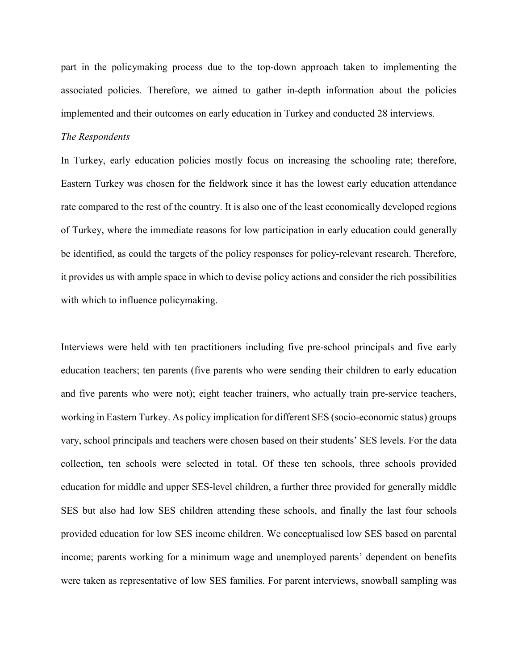part in the policymaking process due to the top-down approach taken to implementing the associated policies. Therefore, we aimed to gather in-depth information about the policies implemented and their outcomes on early education in Turkey and conducted 28 interviews.

### *The Respondents*

In Turkey, early education policies mostly focus on increasing the schooling rate; therefore, Eastern Turkey was chosen for the fieldwork since it has the lowest early education attendance rate compared to the rest of the country. It is also one of the least economically developed regions of Turkey, where the immediate reasons for low participation in early education could generally be identified, as could the targets of the policy responses for policy-relevant research. Therefore, it provides us with ample space in which to devise policy actions and consider the rich possibilities with which to influence policymaking.

Interviews were held with ten practitioners including five pre-school principals and five early education teachers; ten parents (five parents who were sending their children to early education and five parents who were not); eight teacher trainers, who actually train pre-service teachers, working in Eastern Turkey. As policy implication for different SES (socio-economic status) groups vary, school principals and teachers were chosen based on their students' SES levels. For the data collection, ten schools were selected in total. Of these ten schools, three schools provided education for middle and upper SES-level children, a further three provided for generally middle SES but also had low SES children attending these schools, and finally the last four schools provided education for low SES income children. We conceptualised low SES based on parental income; parents working for a minimum wage and unemployed parents' dependent on benefits were taken as representative of low SES families. For parent interviews, snowball sampling was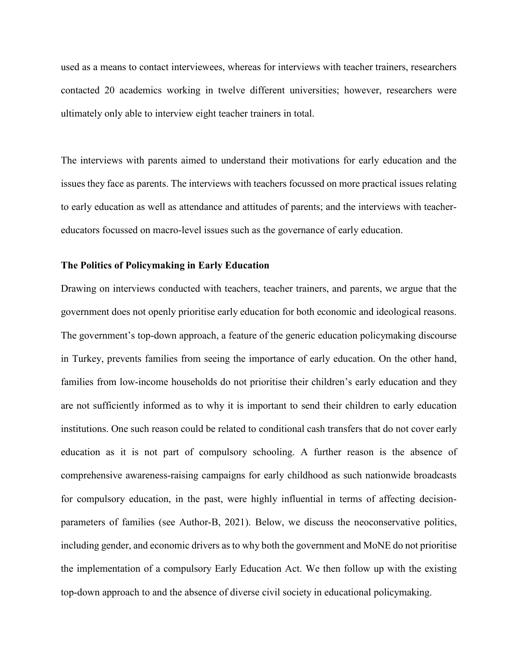used as a means to contact interviewees, whereas for interviews with teacher trainers, researchers contacted 20 academics working in twelve different universities; however, researchers were ultimately only able to interview eight teacher trainers in total.

The interviews with parents aimed to understand their motivations for early education and the issues they face as parents. The interviews with teachers focussed on more practical issues relating to early education as well as attendance and attitudes of parents; and the interviews with teachereducators focussed on macro-level issues such as the governance of early education.

### **The Politics of Policymaking in Early Education**

Drawing on interviews conducted with teachers, teacher trainers, and parents, we argue that the government does not openly prioritise early education for both economic and ideological reasons. The government's top-down approach, a feature of the generic education policymaking discourse in Turkey, prevents families from seeing the importance of early education. On the other hand, families from low-income households do not prioritise their children's early education and they are not sufficiently informed as to why it is important to send their children to early education institutions. One such reason could be related to conditional cash transfers that do not cover early education as it is not part of compulsory schooling. A further reason is the absence of comprehensive awareness-raising campaigns for early childhood as such nationwide broadcasts for compulsory education, in the past, were highly influential in terms of affecting decisionparameters of families (see Author-B, 2021). Below, we discuss the neoconservative politics, including gender, and economic drivers as to why both the government and MoNE do not prioritise the implementation of a compulsory Early Education Act. We then follow up with the existing top-down approach to and the absence of diverse civil society in educational policymaking.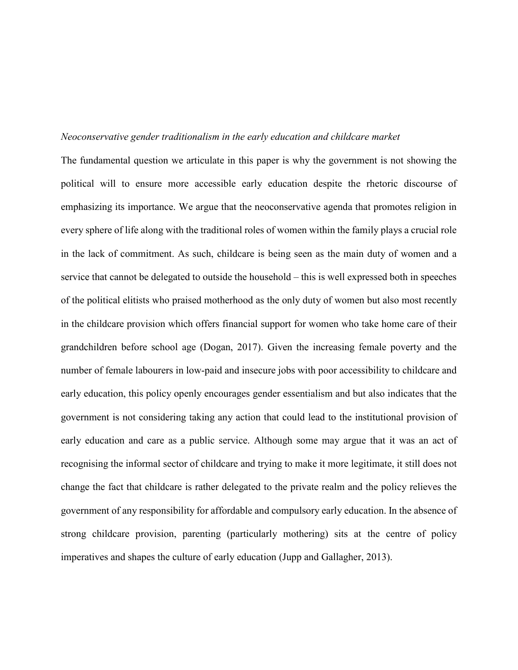## *Neoconservative gender traditionalism in the early education and childcare market*

The fundamental question we articulate in this paper is why the government is not showing the political will to ensure more accessible early education despite the rhetoric discourse of emphasizing its importance. We argue that the neoconservative agenda that promotes religion in every sphere of life along with the traditional roles of women within the family plays a crucial role in the lack of commitment. As such, childcare is being seen as the main duty of women and a service that cannot be delegated to outside the household – this is well expressed both in speeches of the political elitists who praised motherhood as the only duty of women but also most recently in the childcare provision which offers financial support for women who take home care of their grandchildren before school age (Dogan, 2017). Given the increasing female poverty and the number of female labourers in low-paid and insecure jobs with poor accessibility to childcare and early education, this policy openly encourages gender essentialism and but also indicates that the government is not considering taking any action that could lead to the institutional provision of early education and care as a public service. Although some may argue that it was an act of recognising the informal sector of childcare and trying to make it more legitimate, it still does not change the fact that childcare is rather delegated to the private realm and the policy relieves the government of any responsibility for affordable and compulsory early education. In the absence of strong childcare provision, parenting (particularly mothering) sits at the centre of policy imperatives and shapes the culture of early education (Jupp and Gallagher, 2013).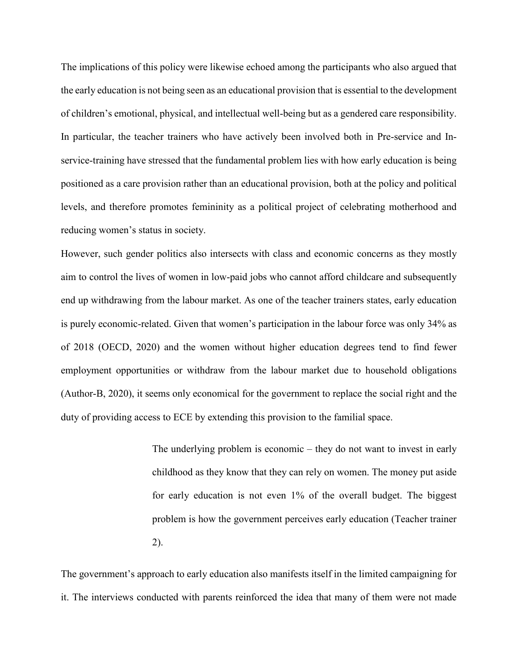The implications of this policy were likewise echoed among the participants who also argued that the early education is not being seen as an educational provision that is essential to the development of children's emotional, physical, and intellectual well-being but as a gendered care responsibility. In particular, the teacher trainers who have actively been involved both in Pre-service and Inservice-training have stressed that the fundamental problem lies with how early education is being positioned as a care provision rather than an educational provision, both at the policy and political levels, and therefore promotes femininity as a political project of celebrating motherhood and reducing women's status in society.

However, such gender politics also intersects with class and economic concerns as they mostly aim to control the lives of women in low-paid jobs who cannot afford childcare and subsequently end up withdrawing from the labour market. As one of the teacher trainers states, early education is purely economic-related. Given that women's participation in the labour force was only 34% as of 2018 (OECD, 2020) and the women without higher education degrees tend to find fewer employment opportunities or withdraw from the labour market due to household obligations (Author-B, 2020), it seems only economical for the government to replace the social right and the duty of providing access to ECE by extending this provision to the familial space.

> The underlying problem is economic – they do not want to invest in early childhood as they know that they can rely on women. The money put aside for early education is not even 1% of the overall budget. The biggest problem is how the government perceives early education (Teacher trainer 2).

The government's approach to early education also manifests itself in the limited campaigning for it. The interviews conducted with parents reinforced the idea that many of them were not made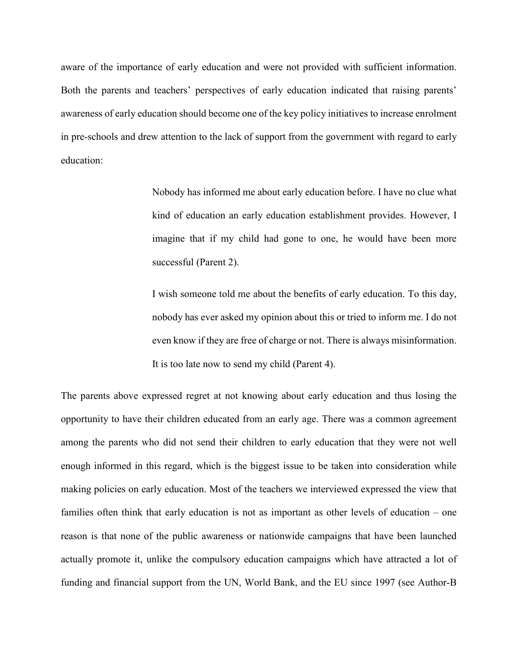aware of the importance of early education and were not provided with sufficient information. Both the parents and teachers' perspectives of early education indicated that raising parents' awareness of early education should become one of the key policy initiatives to increase enrolment in pre-schools and drew attention to the lack of support from the government with regard to early education:

> Nobody has informed me about early education before. I have no clue what kind of education an early education establishment provides. However, I imagine that if my child had gone to one, he would have been more successful (Parent 2).

> I wish someone told me about the benefits of early education. To this day, nobody has ever asked my opinion about this or tried to inform me. I do not even know if they are free of charge or not. There is always misinformation. It is too late now to send my child (Parent 4).

The parents above expressed regret at not knowing about early education and thus losing the opportunity to have their children educated from an early age. There was a common agreement among the parents who did not send their children to early education that they were not well enough informed in this regard, which is the biggest issue to be taken into consideration while making policies on early education. Most of the teachers we interviewed expressed the view that families often think that early education is not as important as other levels of education – one reason is that none of the public awareness or nationwide campaigns that have been launched actually promote it, unlike the compulsory education campaigns which have attracted a lot of funding and financial support from the UN, World Bank, and the EU since 1997 (see Author-B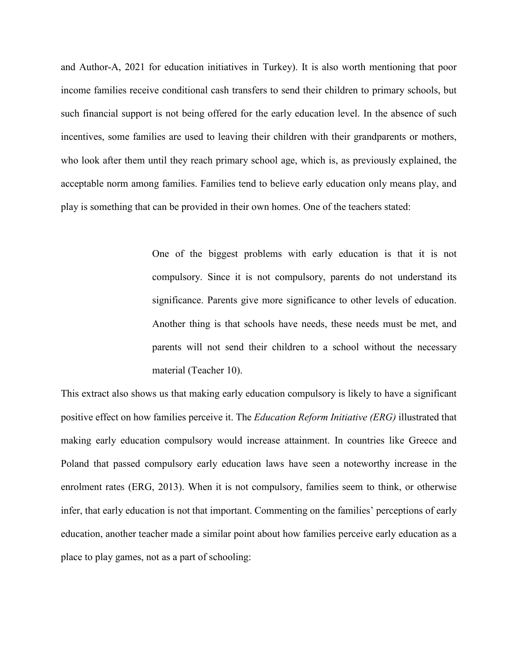and Author-A, 2021 for education initiatives in Turkey). It is also worth mentioning that poor income families receive conditional cash transfers to send their children to primary schools, but such financial support is not being offered for the early education level. In the absence of such incentives, some families are used to leaving their children with their grandparents or mothers, who look after them until they reach primary school age, which is, as previously explained, the acceptable norm among families. Families tend to believe early education only means play, and play is something that can be provided in their own homes. One of the teachers stated:

> One of the biggest problems with early education is that it is not compulsory. Since it is not compulsory, parents do not understand its significance. Parents give more significance to other levels of education. Another thing is that schools have needs, these needs must be met, and parents will not send their children to a school without the necessary material (Teacher 10).

This extract also shows us that making early education compulsory is likely to have a significant positive effect on how families perceive it. The *Education Reform Initiative (ERG)* illustrated that making early education compulsory would increase attainment. In countries like Greece and Poland that passed compulsory early education laws have seen a noteworthy increase in the enrolment rates (ERG, 2013). When it is not compulsory, families seem to think, or otherwise infer, that early education is not that important. Commenting on the families' perceptions of early education, another teacher made a similar point about how families perceive early education as a place to play games, not as a part of schooling: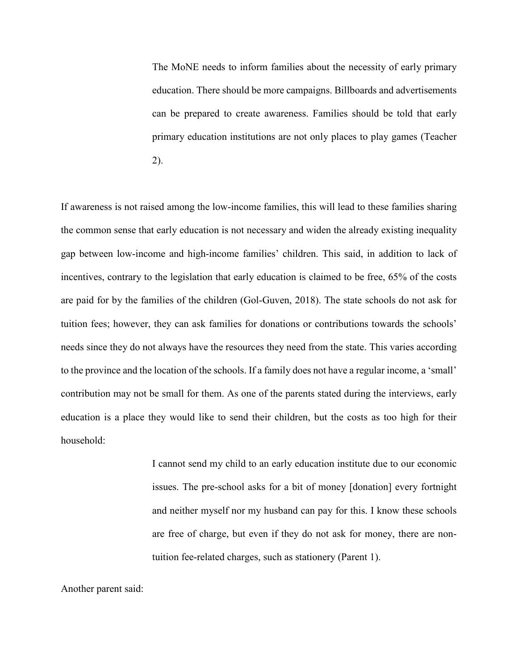The MoNE needs to inform families about the necessity of early primary education. There should be more campaigns. Billboards and advertisements can be prepared to create awareness. Families should be told that early primary education institutions are not only places to play games (Teacher 2).

If awareness is not raised among the low-income families, this will lead to these families sharing the common sense that early education is not necessary and widen the already existing inequality gap between low-income and high-income families' children. This said, in addition to lack of incentives, contrary to the legislation that early education is claimed to be free, 65% of the costs are paid for by the families of the children (Gol-Guven, 2018). The state schools do not ask for tuition fees; however, they can ask families for donations or contributions towards the schools' needs since they do not always have the resources they need from the state. This varies according to the province and the location of the schools. If a family does not have a regular income, a 'small' contribution may not be small for them. As one of the parents stated during the interviews, early education is a place they would like to send their children, but the costs as too high for their household:

> I cannot send my child to an early education institute due to our economic issues. The pre-school asks for a bit of money [donation] every fortnight and neither myself nor my husband can pay for this. I know these schools are free of charge, but even if they do not ask for money, there are nontuition fee-related charges, such as stationery (Parent 1).

Another parent said: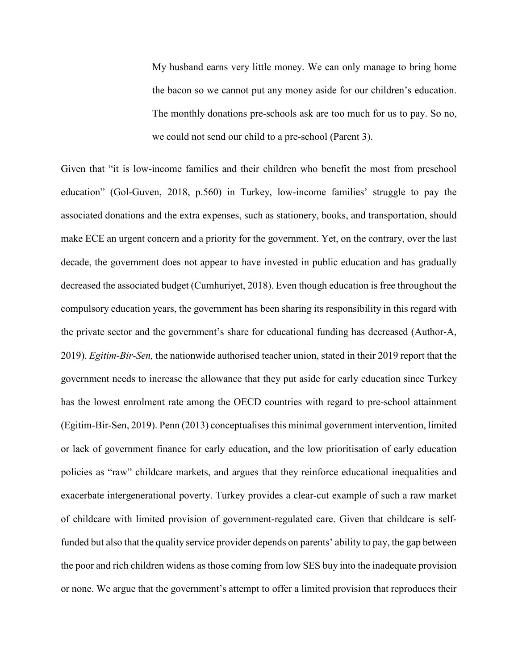My husband earns very little money. We can only manage to bring home the bacon so we cannot put any money aside for our children's education. The monthly donations pre-schools ask are too much for us to pay. So no, we could not send our child to a pre-school (Parent 3).

Given that "it is low-income families and their children who benefit the most from preschool education" (Gol-Guven, 2018, p.560) in Turkey, low-income families' struggle to pay the associated donations and the extra expenses, such as stationery, books, and transportation, should make ECE an urgent concern and a priority for the government. Yet, on the contrary, over the last decade, the government does not appear to have invested in public education and has gradually decreased the associated budget (Cumhuriyet, 2018). Even though education is free throughout the compulsory education years, the government has been sharing its responsibility in this regard with the private sector and the government's share for educational funding has decreased (Author-A, 2019). *Egitim-Bir-Sen,* the nationwide authorised teacher union, stated in their 2019 report that the government needs to increase the allowance that they put aside for early education since Turkey has the lowest enrolment rate among the OECD countries with regard to pre-school attainment (Egitim-Bir-Sen, 2019). Penn (2013) conceptualisesthis minimal government intervention, limited or lack of government finance for early education, and the low prioritisation of early education policies as "raw" childcare markets, and argues that they reinforce educational inequalities and exacerbate intergenerational poverty. Turkey provides a clear-cut example of such a raw market of childcare with limited provision of government-regulated care. Given that childcare is selffunded but also that the quality service provider depends on parents' ability to pay, the gap between the poor and rich children widens as those coming from low SES buy into the inadequate provision or none. We argue that the government's attempt to offer a limited provision that reproduces their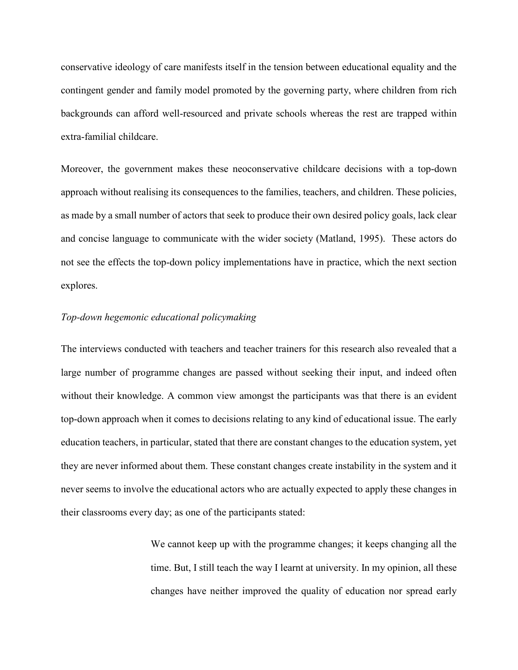conservative ideology of care manifests itself in the tension between educational equality and the contingent gender and family model promoted by the governing party, where children from rich backgrounds can afford well-resourced and private schools whereas the rest are trapped within extra-familial childcare.

Moreover, the government makes these neoconservative childcare decisions with a top-down approach without realising its consequences to the families, teachers, and children. These policies, as made by a small number of actors that seek to produce their own desired policy goals, lack clear and concise language to communicate with the wider society (Matland, 1995). These actors do not see the effects the top-down policy implementations have in practice, which the next section explores.

# *Top-down hegemonic educational policymaking*

The interviews conducted with teachers and teacher trainers for this research also revealed that a large number of programme changes are passed without seeking their input, and indeed often without their knowledge. A common view amongst the participants was that there is an evident top-down approach when it comes to decisions relating to any kind of educational issue. The early education teachers, in particular, stated that there are constant changes to the education system, yet they are never informed about them. These constant changes create instability in the system and it never seems to involve the educational actors who are actually expected to apply these changes in their classrooms every day; as one of the participants stated:

> We cannot keep up with the programme changes; it keeps changing all the time. But, I still teach the way I learnt at university. In my opinion, all these changes have neither improved the quality of education nor spread early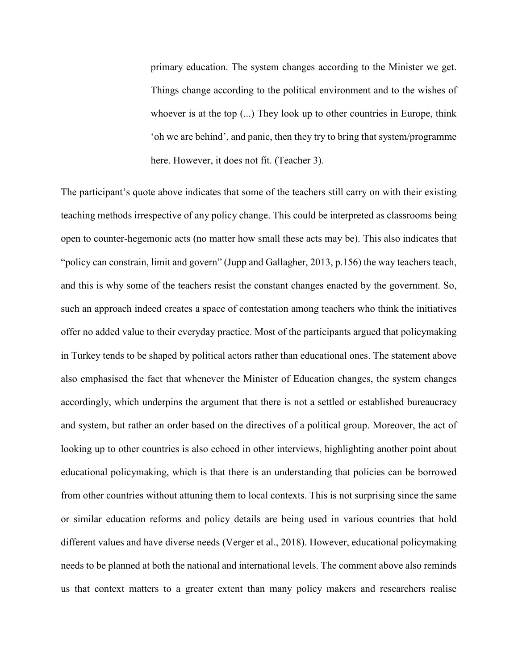primary education. The system changes according to the Minister we get. Things change according to the political environment and to the wishes of whoever is at the top  $(...)$  They look up to other countries in Europe, think 'oh we are behind', and panic, then they try to bring that system/programme here. However, it does not fit. (Teacher 3).

The participant's quote above indicates that some of the teachers still carry on with their existing teaching methods irrespective of any policy change. This could be interpreted as classrooms being open to counter-hegemonic acts (no matter how small these acts may be). This also indicates that "policy can constrain, limit and govern" (Jupp and Gallagher, 2013, p.156) the way teachers teach, and this is why some of the teachers resist the constant changes enacted by the government. So, such an approach indeed creates a space of contestation among teachers who think the initiatives offer no added value to their everyday practice. Most of the participants argued that policymaking in Turkey tends to be shaped by political actors rather than educational ones. The statement above also emphasised the fact that whenever the Minister of Education changes, the system changes accordingly, which underpins the argument that there is not a settled or established bureaucracy and system, but rather an order based on the directives of a political group. Moreover, the act of looking up to other countries is also echoed in other interviews, highlighting another point about educational policymaking, which is that there is an understanding that policies can be borrowed from other countries without attuning them to local contexts. This is not surprising since the same or similar education reforms and policy details are being used in various countries that hold different values and have diverse needs (Verger et al., 2018). However, educational policymaking needs to be planned at both the national and international levels. The comment above also reminds us that context matters to a greater extent than many policy makers and researchers realise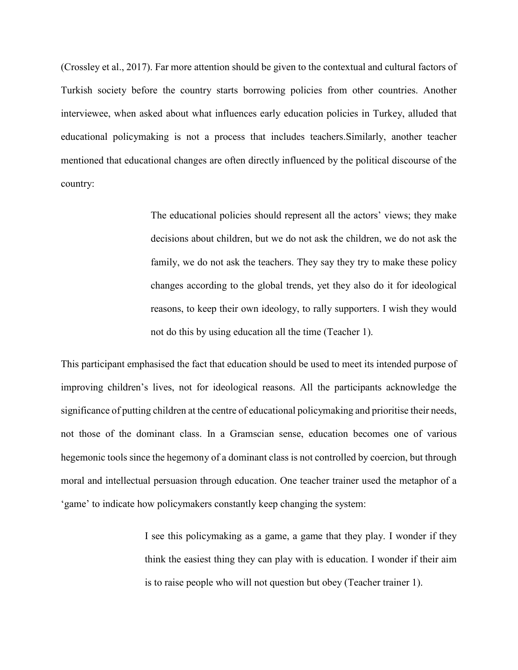(Crossley et al., 2017). Far more attention should be given to the contextual and cultural factors of Turkish society before the country starts borrowing policies from other countries. Another interviewee, when asked about what influences early education policies in Turkey, alluded that educational policymaking is not a process that includes teachers.Similarly, another teacher mentioned that educational changes are often directly influenced by the political discourse of the country:

> The educational policies should represent all the actors' views; they make decisions about children, but we do not ask the children, we do not ask the family, we do not ask the teachers. They say they try to make these policy changes according to the global trends, yet they also do it for ideological reasons, to keep their own ideology, to rally supporters. I wish they would not do this by using education all the time (Teacher 1).

This participant emphasised the fact that education should be used to meet its intended purpose of improving children's lives, not for ideological reasons. All the participants acknowledge the significance of putting children at the centre of educational policymaking and prioritise their needs, not those of the dominant class. In a Gramscian sense, education becomes one of various hegemonic tools since the hegemony of a dominant class is not controlled by coercion, but through moral and intellectual persuasion through education. One teacher trainer used the metaphor of a 'game' to indicate how policymakers constantly keep changing the system:

> I see this policymaking as a game, a game that they play. I wonder if they think the easiest thing they can play with is education. I wonder if their aim is to raise people who will not question but obey (Teacher trainer 1).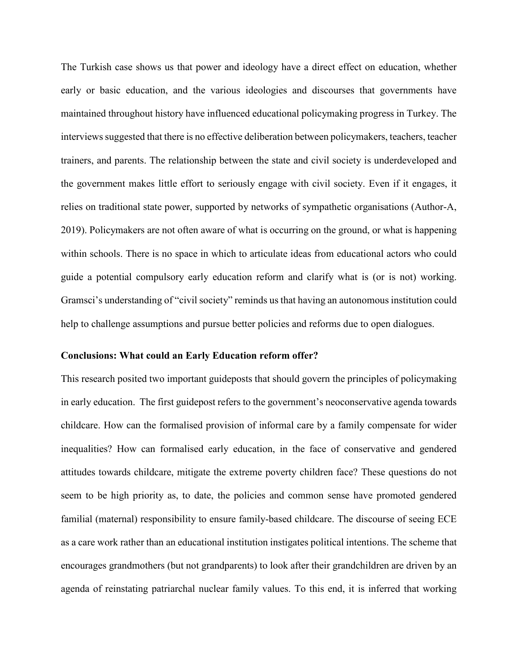The Turkish case shows us that power and ideology have a direct effect on education, whether early or basic education, and the various ideologies and discourses that governments have maintained throughout history have influenced educational policymaking progress in Turkey. The interviews suggested that there is no effective deliberation between policymakers, teachers, teacher trainers, and parents. The relationship between the state and civil society is underdeveloped and the government makes little effort to seriously engage with civil society. Even if it engages, it relies on traditional state power, supported by networks of sympathetic organisations (Author-A, 2019). Policymakers are not often aware of what is occurring on the ground, or what is happening within schools. There is no space in which to articulate ideas from educational actors who could guide a potential compulsory early education reform and clarify what is (or is not) working. Gramsci's understanding of "civil society" reminds us that having an autonomous institution could help to challenge assumptions and pursue better policies and reforms due to open dialogues.

#### **Conclusions: What could an Early Education reform offer?**

This research posited two important guideposts that should govern the principles of policymaking in early education. The first guidepost refers to the government's neoconservative agenda towards childcare. How can the formalised provision of informal care by a family compensate for wider inequalities? How can formalised early education, in the face of conservative and gendered attitudes towards childcare, mitigate the extreme poverty children face? These questions do not seem to be high priority as, to date, the policies and common sense have promoted gendered familial (maternal) responsibility to ensure family-based childcare. The discourse of seeing ECE as a care work rather than an educational institution instigates political intentions. The scheme that encourages grandmothers (but not grandparents) to look after their grandchildren are driven by an agenda of reinstating patriarchal nuclear family values. To this end, it is inferred that working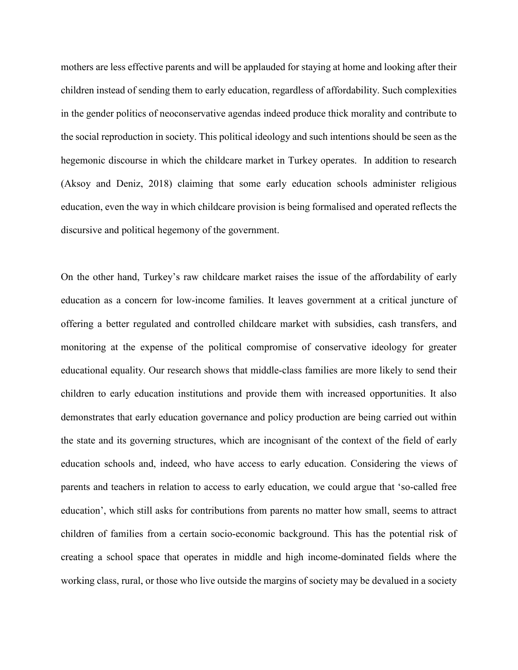mothers are less effective parents and will be applauded for staying at home and looking after their children instead of sending them to early education, regardless of affordability. Such complexities in the gender politics of neoconservative agendas indeed produce thick morality and contribute to the social reproduction in society. This political ideology and such intentions should be seen as the hegemonic discourse in which the childcare market in Turkey operates. In addition to research (Aksoy and Deniz, 2018) claiming that some early education schools administer religious education, even the way in which childcare provision is being formalised and operated reflects the discursive and political hegemony of the government.

On the other hand, Turkey's raw childcare market raises the issue of the affordability of early education as a concern for low-income families. It leaves government at a critical juncture of offering a better regulated and controlled childcare market with subsidies, cash transfers, and monitoring at the expense of the political compromise of conservative ideology for greater educational equality. Our research shows that middle-class families are more likely to send their children to early education institutions and provide them with increased opportunities. It also demonstrates that early education governance and policy production are being carried out within the state and its governing structures, which are incognisant of the context of the field of early education schools and, indeed, who have access to early education. Considering the views of parents and teachers in relation to access to early education, we could argue that 'so-called free education', which still asks for contributions from parents no matter how small, seems to attract children of families from a certain socio-economic background. This has the potential risk of creating a school space that operates in middle and high income-dominated fields where the working class, rural, or those who live outside the margins of society may be devalued in a society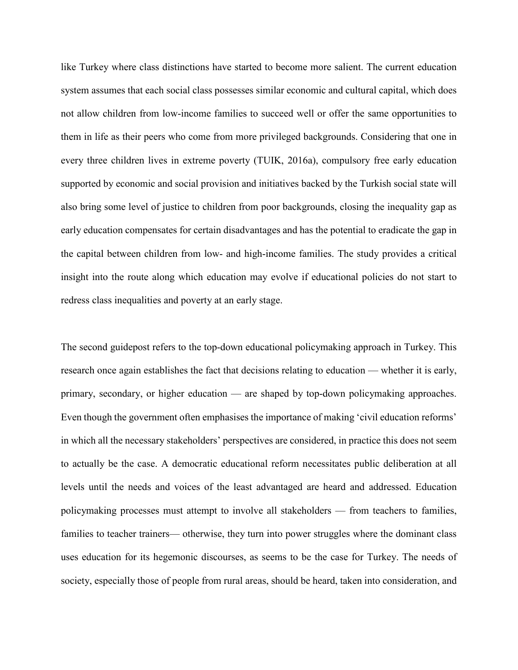like Turkey where class distinctions have started to become more salient. The current education system assumes that each social class possesses similar economic and cultural capital, which does not allow children from low-income families to succeed well or offer the same opportunities to them in life as their peers who come from more privileged backgrounds. Considering that one in every three children lives in extreme poverty (TUIK, 2016a), compulsory free early education supported by economic and social provision and initiatives backed by the Turkish social state will also bring some level of justice to children from poor backgrounds, closing the inequality gap as early education compensates for certain disadvantages and has the potential to eradicate the gap in the capital between children from low- and high-income families. The study provides a critical insight into the route along which education may evolve if educational policies do not start to redress class inequalities and poverty at an early stage.

The second guidepost refers to the top-down educational policymaking approach in Turkey. This research once again establishes the fact that decisions relating to education — whether it is early, primary, secondary, or higher education — are shaped by top-down policymaking approaches. Even though the government often emphasises the importance of making 'civil education reforms' in which all the necessary stakeholders' perspectives are considered, in practice this does not seem to actually be the case. A democratic educational reform necessitates public deliberation at all levels until the needs and voices of the least advantaged are heard and addressed. Education policymaking processes must attempt to involve all stakeholders — from teachers to families, families to teacher trainers— otherwise, they turn into power struggles where the dominant class uses education for its hegemonic discourses, as seems to be the case for Turkey. The needs of society, especially those of people from rural areas, should be heard, taken into consideration, and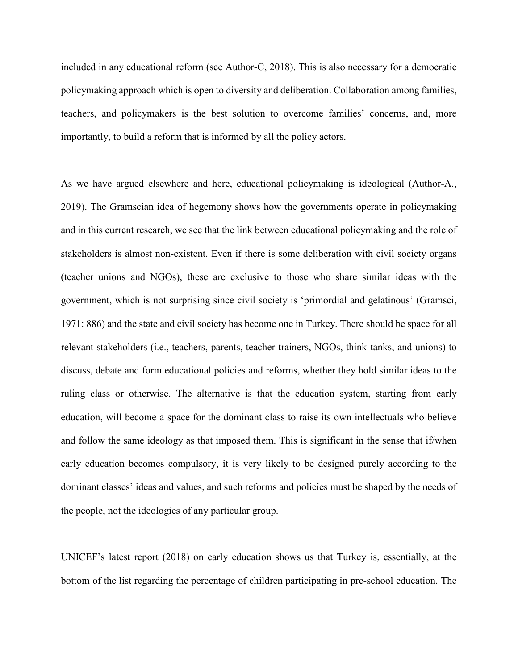included in any educational reform (see Author-C, 2018). This is also necessary for a democratic policymaking approach which is open to diversity and deliberation. Collaboration among families, teachers, and policymakers is the best solution to overcome families' concerns, and, more importantly, to build a reform that is informed by all the policy actors.

As we have argued elsewhere and here, educational policymaking is ideological (Author-A., 2019). The Gramscian idea of hegemony shows how the governments operate in policymaking and in this current research, we see that the link between educational policymaking and the role of stakeholders is almost non-existent. Even if there is some deliberation with civil society organs (teacher unions and NGOs), these are exclusive to those who share similar ideas with the government, which is not surprising since civil society is 'primordial and gelatinous' (Gramsci, 1971: 886) and the state and civil society has become one in Turkey. There should be space for all relevant stakeholders (i.e., teachers, parents, teacher trainers, NGOs, think-tanks, and unions) to discuss, debate and form educational policies and reforms, whether they hold similar ideas to the ruling class or otherwise. The alternative is that the education system, starting from early education, will become a space for the dominant class to raise its own intellectuals who believe and follow the same ideology as that imposed them. This is significant in the sense that if/when early education becomes compulsory, it is very likely to be designed purely according to the dominant classes' ideas and values, and such reforms and policies must be shaped by the needs of the people, not the ideologies of any particular group.

UNICEF's latest report (2018) on early education shows us that Turkey is, essentially, at the bottom of the list regarding the percentage of children participating in pre-school education. The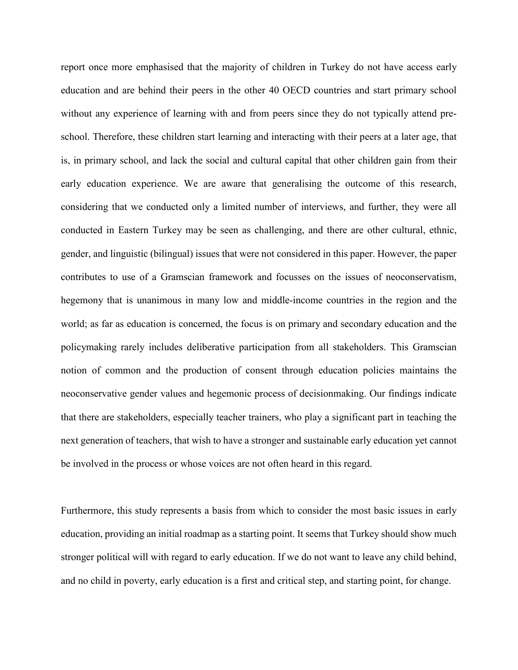report once more emphasised that the majority of children in Turkey do not have access early education and are behind their peers in the other 40 OECD countries and start primary school without any experience of learning with and from peers since they do not typically attend preschool. Therefore, these children start learning and interacting with their peers at a later age, that is, in primary school, and lack the social and cultural capital that other children gain from their early education experience. We are aware that generalising the outcome of this research, considering that we conducted only a limited number of interviews, and further, they were all conducted in Eastern Turkey may be seen as challenging, and there are other cultural, ethnic, gender, and linguistic (bilingual) issues that were not considered in this paper. However, the paper contributes to use of a Gramscian framework and focusses on the issues of neoconservatism, hegemony that is unanimous in many low and middle-income countries in the region and the world; as far as education is concerned, the focus is on primary and secondary education and the policymaking rarely includes deliberative participation from all stakeholders. This Gramscian notion of common and the production of consent through education policies maintains the neoconservative gender values and hegemonic process of decisionmaking. Our findings indicate that there are stakeholders, especially teacher trainers, who play a significant part in teaching the next generation of teachers, that wish to have a stronger and sustainable early education yet cannot be involved in the process or whose voices are not often heard in this regard.

Furthermore, this study represents a basis from which to consider the most basic issues in early education, providing an initial roadmap as a starting point. It seems that Turkey should show much stronger political will with regard to early education. If we do not want to leave any child behind, and no child in poverty, early education is a first and critical step, and starting point, for change.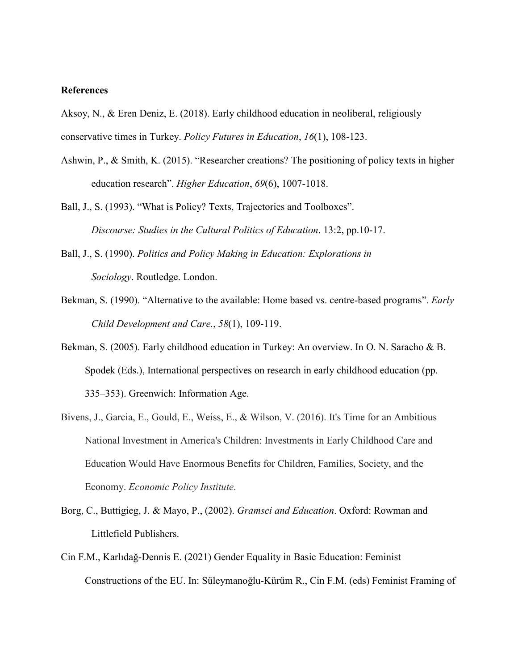# **References**

Aksoy, N., & Eren Deniz, E. (2018). Early childhood education in neoliberal, religiously conservative times in Turkey. *Policy Futures in Education*, *16*(1), 108-123.

- Ashwin, P., & Smith, K. (2015). "Researcher creations? The positioning of policy texts in higher education research". *Higher Education*, *69*(6), 1007-1018.
- Ball, J., S. (1993). "What is Policy? Texts, Trajectories and Toolboxes". *Discourse: Studies in the Cultural Politics of Education*. 13:2, pp.10-17.
- Ball, J., S. (1990). *Politics and Policy Making in Education: Explorations in Sociology*. Routledge. London.
- Bekman, S. (1990). "Alternative to the available: Home based vs. centre-based programs". *Early Child Development and Care.*, *58*(1), 109-119.
- Bekman, S. (2005). Early childhood education in Turkey: An overview. In O. N. Saracho & B. Spodek (Eds.), International perspectives on research in early childhood education (pp. 335–353). Greenwich: Information Age.
- Bivens, J., Garcia, E., Gould, E., Weiss, E., & Wilson, V. (2016). It's Time for an Ambitious National Investment in America's Children: Investments in Early Childhood Care and Education Would Have Enormous Benefits for Children, Families, Society, and the Economy. *Economic Policy Institute*.
- Borg, C., Buttigieg, J. & Mayo, P., (2002). *Gramsci and Education*. Oxford: Rowman and Littlefield Publishers.
- Cin F.M., Karlıdağ-Dennis E. (2021) Gender Equality in Basic Education: Feminist Constructions of the EU. In: Süleymanoğlu-Kürüm R., Cin F.M. (eds) Feminist Framing of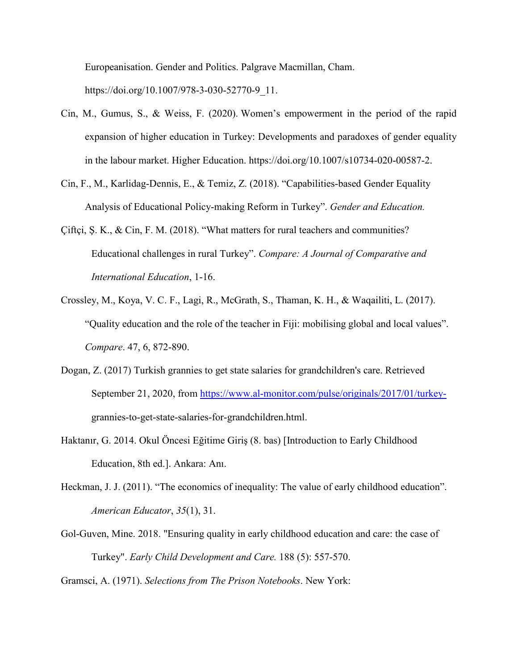Europeanisation. Gender and Politics. Palgrave Macmillan, Cham. [https://doi.org/10.1007/978-3-030-52770-9\\_11.](https://doi.org/10.1007/978-3-030-52770-9_11)

- [Cin, M.,](http://www.research.lancs.ac.uk/portal/en/people/melis-cin(7dabb55d-2589-4ad1-9f74-026fbda1ee99).html) Gumus, S., & Weiss, F. (2020). [Women's empowerment in the period of the rapid](http://www.research.lancs.ac.uk/portal/en/publications/womens-empowerment-in-the-period-of-the-rapid-expansion-of-higher-education-in-turkey(8238b069-26bc-4cf1-a9d6-b9be7ebe1e8f).html)  [expansion of higher education in Turkey: Developments and paradoxes of gender equality](http://www.research.lancs.ac.uk/portal/en/publications/womens-empowerment-in-the-period-of-the-rapid-expansion-of-higher-education-in-turkey(8238b069-26bc-4cf1-a9d6-b9be7ebe1e8f).html)  [in the labour market.](http://www.research.lancs.ac.uk/portal/en/publications/womens-empowerment-in-the-period-of-the-rapid-expansion-of-higher-education-in-turkey(8238b069-26bc-4cf1-a9d6-b9be7ebe1e8f).html) Higher Education. [https://doi.org/10.1007/s10734-020-00587-2.](https://doi.org/10.1007/s10734-020-00587-2)
- Cin, F., M., Karlidag-Dennis, E., & Temiz, Z. (2018). "Capabilities-based Gender Equality Analysis of Educational Policy-making Reform in Turkey". *Gender and Education.*
- Çiftçi, Ş. K., & Cin, F. M. (2018). "What matters for rural teachers and communities? Educational challenges in rural Turkey". *Compare: A Journal of Comparative and International Education*, 1-16.
- Crossley, M., Koya, V. C. F., Lagi, R., McGrath, S., Thaman, K. H., & Waqailiti, L. (2017). "Quality education and the role of the teacher in Fiji: mobilising global and local values". *Compare*. 47, 6, 872-890.
- Dogan, Z. (2017) Turkish grannies to get state salaries for grandchildren's care. Retrieved September 21, 2020, from [https://www.al-monitor.com/pulse/originals/2017/01/turkey](https://www.al-monitor.com/pulse/originals/2017/01/turkey-)grannies-to-get-state-salaries-for-grandchildren.html.
- Haktanır, G. 2014. Okul Öncesi Eğitime Giriş (8. bas) [Introduction to Early Childhood Education, 8th ed.]. Ankara: Anı.
- Heckman, J. J. (2011). "The economics of inequality: The value of early childhood education". *American Educator*, *35*(1), 31.
- Gol-Guven, Mine. 2018. "Ensuring quality in early childhood education and care: the case of Turkey". *Early Child Development and Care.* 188 (5): 557-570.

Gramsci, A. (1971). *Selections from The Prison Notebooks*. New York: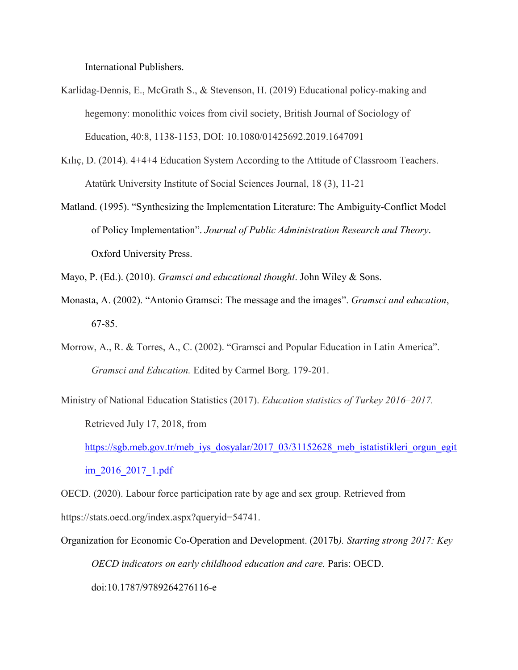International Publishers.

- Karlidag-Dennis, E., McGrath S., & Stevenson, H. (2019) Educational policy-making and hegemony: monolithic voices from civil society, British Journal of Sociology of Education, 40:8, 1138-1153, DOI: [10.1080/01425692.2019.1647091](https://doi.org/10.1080/01425692.2019.1647091)
- Kılıç, D. (2014). 4+4+4 Education System According to the Attitude of Classroom Teachers. Atatürk University Institute of Social Sciences Journal, 18 (3), 11-21
- Matland. (1995). "Synthesizing the Implementation Literature: The Ambiguity-Conflict Model of Policy Implementation". *Journal of Public Administration Research and Theory*. Oxford University Press.
- Mayo, P. (Ed.). (2010). *Gramsci and educational thought*. John Wiley & Sons.
- Monasta, A. (2002). "Antonio Gramsci: The message and the images". *Gramsci and education*, 67-85.
- Morrow, A., R. & Torres, A., C. (2002). "Gramsci and Popular Education in Latin America". *Gramsci and Education.* Edited by Carmel Borg. 179-201.
- Ministry of National Education Statistics (2017). *Education statistics of Turkey 2016–2017.* Retrieved July 17, 2018, from

[https://sgb.meb.gov.tr/meb\\_iys\\_dosyalar/2017\\_03/31152628\\_meb\\_istatistikleri\\_orgun\\_egit](https://sgb.meb.gov.tr/meb_iys_dosyalar/2017_03/31152628_meb_istatistikleri_orgun_egitim_2016_2017_1.pdf) [im\\_2016\\_2017\\_1.pdf](https://sgb.meb.gov.tr/meb_iys_dosyalar/2017_03/31152628_meb_istatistikleri_orgun_egitim_2016_2017_1.pdf)

OECD. (2020). Labour force participation rate by age and sex group. Retrieved from https://stats.oecd.org/index.aspx?queryid=54741.

Organization for Economic Co-Operation and Development. (2017b*). Starting strong 2017: Key OECD indicators on early childhood education and care.* Paris: OECD. doi:10.1787/9789264276116-e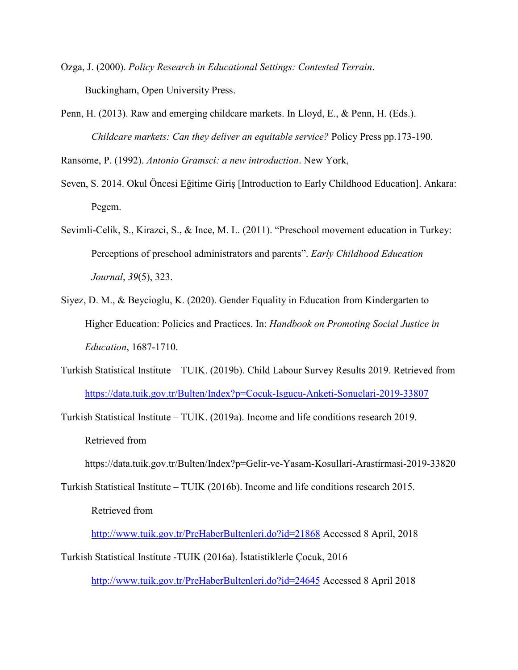- Ozga, J. (2000). *Policy Research in Educational Settings: Contested Terrain*. Buckingham, Open University Press.
- Penn, H. (2013). Raw and emerging childcare markets. In Lloyd, E., & Penn, H. (Eds.). *Childcare markets: Can they deliver an equitable service?* Policy Press pp.173-190.

Ransome, P. (1992). *Antonio Gramsci: a new introduction*. New York,

- Seven, S. 2014. Okul Öncesi Eğitime Giriş [Introduction to Early Childhood Education]. Ankara: Pegem.
- Sevimli-Celik, S., Kirazci, S., & Ince, M. L. (2011). "Preschool movement education in Turkey: Perceptions of preschool administrators and parents". *Early Childhood Education Journal*, *39*(5), 323.
- Siyez, D. M., & Beycioglu, K. (2020). Gender Equality in Education from Kindergarten to Higher Education: Policies and Practices. In: *Handbook on Promoting Social Justice in Education*, 1687-1710.
- Turkish Statistical Institute TUIK. (2019b). Child Labour Survey Results 2019. Retrieved from <https://data.tuik.gov.tr/Bulten/Index?p=Cocuk-Isgucu-Anketi-Sonuclari-2019-33807>
- Turkish Statistical Institute TUIK. (2019a). Income and life conditions research 2019. Retrieved from

https://data.tuik.gov.tr/Bulten/Index?p=Gelir-ve-Yasam-Kosullari-Arastirmasi-2019-33820

Turkish Statistical Institute – TUIK (2016b). Income and life conditions research 2015. Retrieved from

<http://www.tuik.gov.tr/PreHaberBultenleri.do?id=21868> Accessed 8 April, 2018 Turkish Statistical Institute -TUIK (2016a). İstatistiklerle Çocuk, 2016

<http://www.tuik.gov.tr/PreHaberBultenleri.do?id=24645> Accessed 8 April 2018